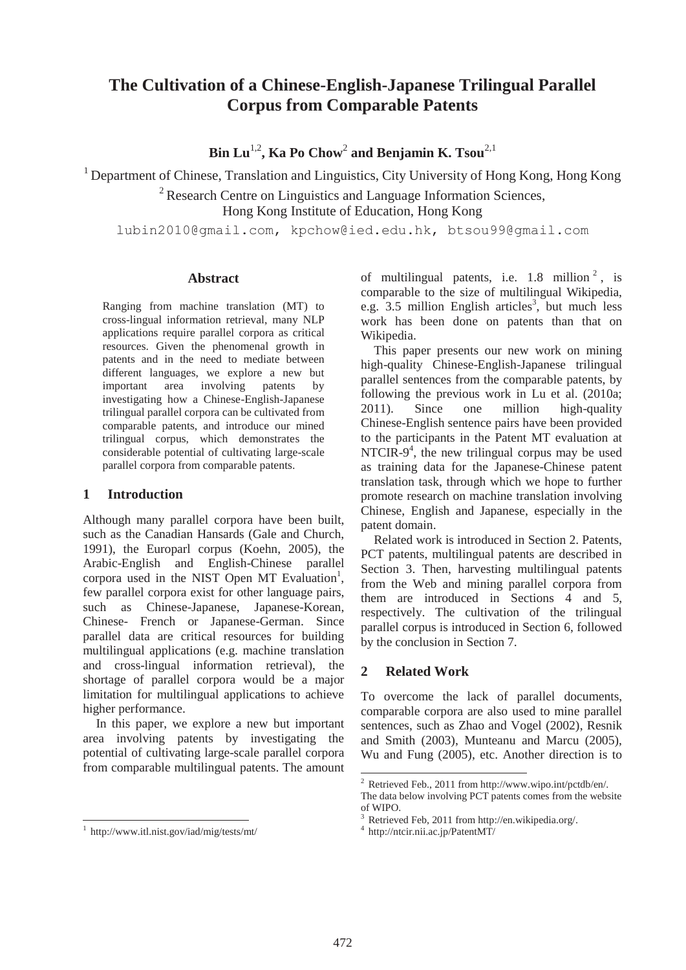# **The Cultivation of a Chinese-English-Japanese Trilingual Parallel Corpus from Comparable Patents**

**Bin Lu**1,2**, Ka Po Chow**<sup>2</sup>  **and Benjamin K. Tsou**2,1

<sup>1</sup> Department of Chinese, Translation and Linguistics, City University of Hong Kong, Hong Kong

<sup>2</sup> Research Centre on Linguistics and Language Information Sciences,

Hong Kong Institute of Education, Hong Kong

lubin2010@gmail.com, kpchow@ied.edu.hk, btsou99@gmail.com

#### **Abstract**

Ranging from machine translation (MT) to cross-lingual information retrieval, many NLP applications require parallel corpora as critical resources. Given the phenomenal growth in patents and in the need to mediate between different languages, we explore a new but important area involving patents by investigating how a Chinese-English-Japanese trilingual parallel corpora can be cultivated from comparable patents, and introduce our mined trilingual corpus, which demonstrates the considerable potential of cultivating large-scale parallel corpora from comparable patents.

#### **1 Introduction**

Although many parallel corpora have been built, such as the Canadian Hansards (Gale and Church, 1991), the Europarl corpus (Koehn, 2005), the Arabic-English and English-Chinese parallel corpora used in the NIST Open MT Evaluation<sup>1</sup>, few parallel corpora exist for other language pairs, such as Chinese-Japanese, Japanese-Korean, Chinese- French or Japanese-German. Since parallel data are critical resources for building multilingual applications (e.g. machine translation and cross-lingual information retrieval), the shortage of parallel corpora would be a major limitation for multilingual applications to achieve higher performance.

In this paper, we explore a new but important area involving patents by investigating the potential of cultivating large-scale parallel corpora from comparable multilingual patents. The amount of multilingual patents, i.e.  $1.8 \text{ million}^2$ , is comparable to the size of multilingual Wikipedia, e.g.  $3.5$  million English articles<sup>3</sup>, but much less work has been done on patents than that on Wikipedia.

This paper presents our new work on mining high-quality Chinese-English-Japanese trilingual parallel sentences from the comparable patents, by following the previous work in Lu et al. (2010a; 2011). Since one million high-quality Chinese-English sentence pairs have been provided to the participants in the Patent MT evaluation at NTCIR-9<sup>4</sup>, the new trilingual corpus may be used as training data for the Japanese-Chinese patent translation task, through which we hope to further promote research on machine translation involving Chinese, English and Japanese, especially in the patent domain.

Related work is introduced in Section 2. Patents, PCT patents, multilingual patents are described in Section 3. Then, harvesting multilingual patents from the Web and mining parallel corpora from them are introduced in Sections 4 and 5, respectively. The cultivation of the trilingual parallel corpus is introduced in Section 6, followed by the conclusion in Section 7.

# **2 Related Work**

To overcome the lack of parallel documents, comparable corpora are also used to mine parallel sentences, such as Zhao and Vogel (2002), Resnik and Smith (2003), Munteanu and Marcu (2005), Wu and Fung (2005), etc. Another direction is to

-

 1 http://www.itl.nist.gov/iad/mig/tests/mt/

<sup>2</sup> Retrieved Feb., 2011 from http://www.wipo.int/pctdb/en/. The data below involving PCT patents comes from the website of WIPO.

<sup>3</sup> Retrieved Feb, 2011 from http://en.wikipedia.org/.

<sup>4</sup> http://ntcir.nii.ac.jp/PatentMT/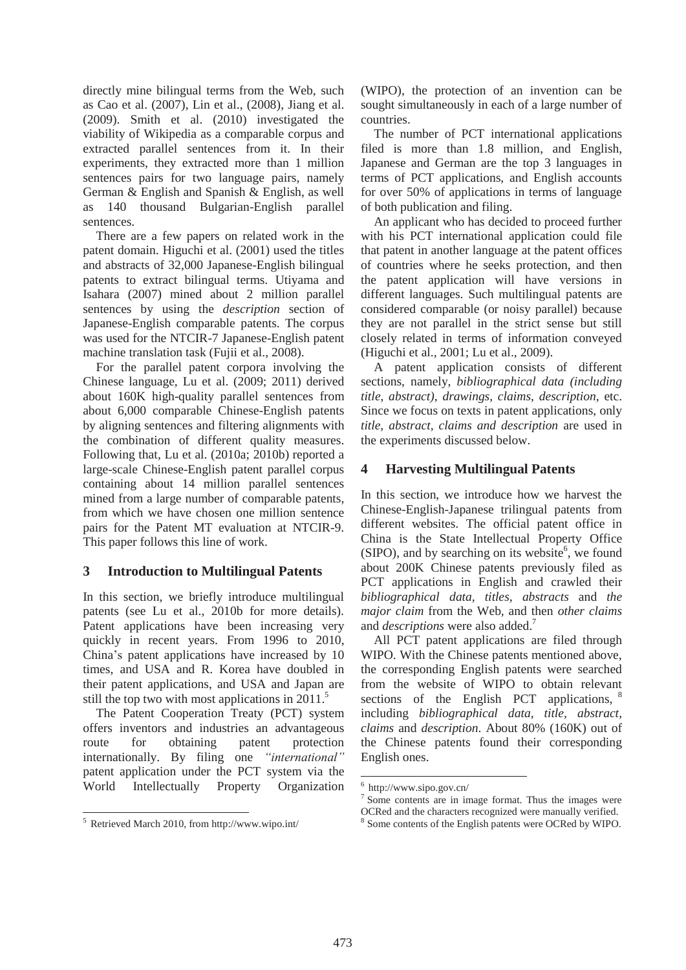directly mine bilingual terms from the Web, such as Cao et al. (2007), Lin et al., (2008), Jiang et al. (2009). Smith et al. (2010) investigated the viability of Wikipedia as a comparable corpus and extracted parallel sentences from it. In their experiments, they extracted more than 1 million sentences pairs for two language pairs, namely German & English and Spanish & English, as well as 140 thousand Bulgarian-English parallel sentences.

There are a few papers on related work in the patent domain. Higuchi et al. (2001) used the titles and abstracts of 32,000 Japanese-English bilingual patents to extract bilingual terms. Utiyama and Isahara (2007) mined about 2 million parallel sentences by using the *description* section of Japanese-English comparable patents. The corpus was used for the NTCIR-7 Japanese-English patent machine translation task (Fujii et al., 2008).

For the parallel patent corpora involving the Chinese language, Lu et al. (2009; 2011) derived about 160K high-quality parallel sentences from about 6,000 comparable Chinese-English patents by aligning sentences and filtering alignments with the combination of different quality measures. Following that, Lu et al. (2010a; 2010b) reported a large-scale Chinese-English patent parallel corpus containing about 14 million parallel sentences mined from a large number of comparable patents, from which we have chosen one million sentence pairs for the Patent MT evaluation at NTCIR-9. This paper follows this line of work.

#### **3 Introduction to Multilingual Patents**

In this section, we briefly introduce multilingual patents (see Lu et al., 2010b for more details). Patent applications have been increasing very quickly in recent years. From 1996 to 2010, China's patent applications have increased by 10 times, and USA and R. Korea have doubled in their patent applications, and USA and Japan are still the top two with most applications in  $2011$ <sup>5</sup>

The Patent Cooperation Treaty (PCT) system offers inventors and industries an advantageous route for obtaining patent protection internationally. By filing one *"international"* patent application under the PCT system via the World Intellectually Property Organization

 $\overline{a}$ 

(WIPO), the protection of an invention can be sought simultaneously in each of a large number of countries.

The number of PCT international applications filed is more than 1.8 million, and English, Japanese and German are the top 3 languages in terms of PCT applications, and English accounts for over 50% of applications in terms of language of both publication and filing.

An applicant who has decided to proceed further with his PCT international application could file that patent in another language at the patent offices of countries where he seeks protection, and then the patent application will have versions in different languages. Such multilingual patents are considered comparable (or noisy parallel) because they are not parallel in the strict sense but still closely related in terms of information conveyed (Higuchi et al., 2001; Lu et al., 2009).

A patent application consists of different sections, namely, *bibliographical data (including title*, *abstract)*, *drawings, claims*, *description*, etc. Since we focus on texts in patent applications, only *title, abstract, claims and description* are used in the experiments discussed below.

# **4 Harvesting Multilingual Patents**

In this section, we introduce how we harvest the Chinese-English-Japanese trilingual patents from different websites. The official patent office in China is the State Intellectual Property Office  $(SIFO)$ , and by searching on its website<sup>6</sup>, we found about 200K Chinese patents previously filed as PCT applications in English and crawled their *bibliographical data, titles, abstracts* and *the major claim* from the Web, and then *other claims*  and *descriptions* were also added.7

All PCT patent applications are filed through WIPO. With the Chinese patents mentioned above, the corresponding English patents were searched from the website of WIPO to obtain relevant sections of the English PCT applications,  $8$ including *bibliographical data, title, abstract*, *claims* and *description*. About 80% (160K) out of the Chinese patents found their corresponding English ones.

 $\overline{a}$ 

<sup>5</sup> Retrieved March 2010, from http://www.wipo.int/

<sup>6</sup> http://www.sipo.gov.cn/

 $\frac{1}{7}$  Some contents are in image format. Thus the images were OCRed and the characters recognized were manually verified.

<sup>&</sup>lt;sup>8</sup> Some contents of the English patents were OCRed by WIPO.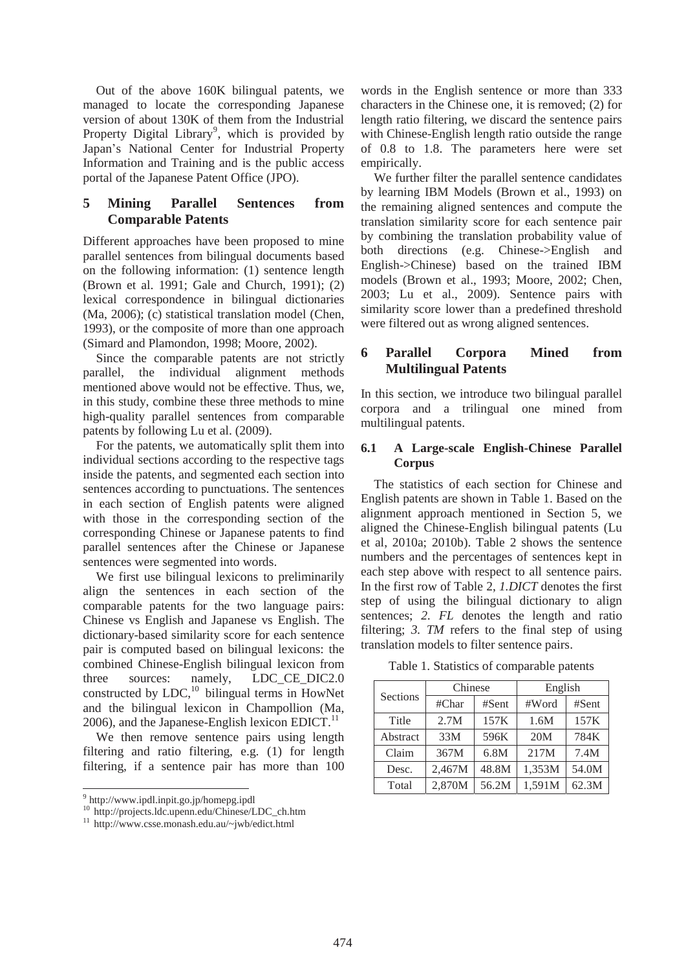Out of the above 160K bilingual patents, we managed to locate the corresponding Japanese version of about 130K of them from the Industrial Property Digital Library<sup>9</sup>, which is provided by Japan's National Center for Industrial Property Information and Training and is the public access portal of the Japanese Patent Office (JPO).

#### **5 Mining Parallel Sentences from Comparable Patents**

Different approaches have been proposed to mine parallel sentences from bilingual documents based on the following information: (1) sentence length (Brown et al. 1991; Gale and Church, 1991); (2) lexical correspondence in bilingual dictionaries (Ma, 2006); (c) statistical translation model (Chen, 1993), or the composite of more than one approach (Simard and Plamondon, 1998; Moore, 2002).

Since the comparable patents are not strictly parallel, the individual alignment methods mentioned above would not be effective. Thus, we, in this study, combine these three methods to mine high-quality parallel sentences from comparable patents by following Lu et al. (2009).

For the patents, we automatically split them into individual sections according to the respective tags inside the patents, and segmented each section into sentences according to punctuations. The sentences in each section of English patents were aligned with those in the corresponding section of the corresponding Chinese or Japanese patents to find parallel sentences after the Chinese or Japanese sentences were segmented into words.

We first use bilingual lexicons to preliminarily align the sentences in each section of the comparable patents for the two language pairs: Chinese vs English and Japanese vs English. The dictionary-based similarity score for each sentence pair is computed based on bilingual lexicons: the combined Chinese-English bilingual lexicon from three sources: namely, LDC CE DIC2.0 constructed by  $LDC<sub>10</sub><sup>10</sup>$  bilingual terms in HowNet and the bilingual lexicon in Champollion (Ma, 2006), and the Japanese-English lexicon EDICT. $^{11}$ 

We then remove sentence pairs using length filtering and ratio filtering, e.g. (1) for length filtering, if a sentence pair has more than 100

-

words in the English sentence or more than 333 characters in the Chinese one, it is removed; (2) for length ratio filtering, we discard the sentence pairs with Chinese-English length ratio outside the range of 0.8 to 1.8. The parameters here were set empirically.

We further filter the parallel sentence candidates by learning IBM Models (Brown et al., 1993) on the remaining aligned sentences and compute the translation similarity score for each sentence pair by combining the translation probability value of both directions (e.g. Chinese->English and English->Chinese) based on the trained IBM models (Brown et al., 1993; Moore, 2002; Chen, 2003; Lu et al., 2009). Sentence pairs with similarity score lower than a predefined threshold were filtered out as wrong aligned sentences.

### **6 Parallel Corpora Mined from Multilingual Patents**

In this section, we introduce two bilingual parallel corpora and a trilingual one mined from multilingual patents.

#### **6.1 A Large-scale English-Chinese Parallel Corpus**

The statistics of each section for Chinese and English patents are shown in Table 1. Based on the alignment approach mentioned in Section 5, we aligned the Chinese-English bilingual patents (Lu et al, 2010a; 2010b). Table 2 shows the sentence numbers and the percentages of sentences kept in each step above with respect to all sentence pairs. In the first row of Table 2, *1.DICT* denotes the first step of using the bilingual dictionary to align sentences; *2. FL* denotes the length and ratio filtering; *3. TM* refers to the final step of using translation models to filter sentence pairs.

| Sections | Chinese |       | English |       |  |
|----------|---------|-------|---------|-------|--|
|          | #Char   | #Sent | #Word   | #Sent |  |
| Title    | 2.7M    | 157K  | 1.6M    | 157K  |  |
| Abstract | 33M     | 596K  | 20M     | 784K  |  |
| Claim    | 367M    | 6.8M  | 217M    | 7.4M  |  |
| Desc.    | 2,467M  | 48.8M | 1,353M  | 54.0M |  |

Total | 2,870M | 56.2M | 1,591M | 62.3M

Table 1. Statistics of comparable patents

<sup>9</sup> http://www.ipdl.inpit.go.jp/homepg.ipdl

<sup>10</sup> http://projects.ldc.upenn.edu/Chinese/LDC\_ch.htm

<sup>11</sup> http://www.csse.monash.edu.au/~jwb/edict.html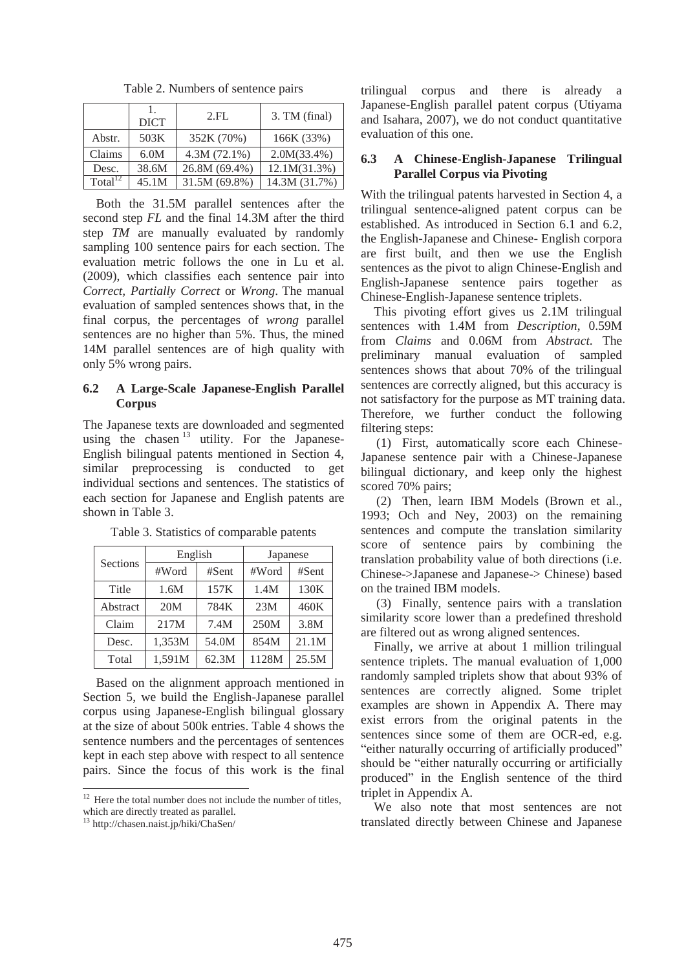|               | <b>DICT</b> | 2.FL           | 3. TM (final)  |
|---------------|-------------|----------------|----------------|
| Abstr.        | 503K        | 352K (70%)     | 166K (33%)     |
| Claims        | 6.0M        | $4.3M(72.1\%)$ | $2.0M(33.4\%)$ |
| Desc.         | 38.6M       | 26.8M (69.4%)  | 12.1M(31.3%)   |
| Total $^{12}$ | 45.1M       | 31.5M (69.8%)  | 14.3M (31.7%)  |

Table 2. Numbers of sentence pairs

Both the 31.5M parallel sentences after the second step *FL* and the final 14.3M after the third step *TM* are manually evaluated by randomly sampling 100 sentence pairs for each section. The evaluation metric follows the one in Lu et al. (2009), which classifies each sentence pair into *Correct, Partially Correct* or *Wrong*. The manual evaluation of sampled sentences shows that, in the final corpus, the percentages of *wrong* parallel sentences are no higher than 5%. Thus, the mined 14M parallel sentences are of high quality with only 5% wrong pairs.

#### **6.2 A Large-Scale Japanese-English Parallel Corpus**

The Japanese texts are downloaded and segmented using the chasen  $13$  utility. For the Japanese-English bilingual patents mentioned in Section 4, similar preprocessing is conducted to get individual sections and sentences. The statistics of each section for Japanese and English patents are shown in Table 3.

|                 | English |       | Japanese |       |
|-----------------|---------|-------|----------|-------|
| Sections        | #Word   | #Sent | #Word    | #Sent |
| Title           | 1.6M    | 157K  | 1.4M     | 130K  |
| Abstract        | 20M     | 784K  | 23M      | 460K  |
| Claim           | 217M    | 7.4M  | 250M     | 3.8M  |
| 1,353M<br>Desc. |         | 54.0M | 854M     | 21.1M |
| Total           | 1,591M  | 62.3M | 1128M    | 25.5M |

Table 3. Statistics of comparable patents

Based on the alignment approach mentioned in Section 5, we build the English-Japanese parallel corpus using Japanese-English bilingual glossary at the size of about 500k entries. Table 4 shows the sentence numbers and the percentages of sentences kept in each step above with respect to all sentence pairs. Since the focus of this work is the final

-

trilingual corpus and there is already a Japanese-English parallel patent corpus (Utiyama and Isahara, 2007), we do not conduct quantitative evaluation of this one.

#### **6.3 A Chinese-English-Japanese Trilingual Parallel Corpus via Pivoting**

With the trilingual patents harvested in Section 4, a trilingual sentence-aligned patent corpus can be established. As introduced in Section 6.1 and 6.2, the English-Japanese and Chinese- English corpora are first built, and then we use the English sentences as the pivot to align Chinese-English and English-Japanese sentence pairs together as Chinese-English-Japanese sentence triplets.

This pivoting effort gives us 2.1M trilingual sentences with 1.4M from *Description*, 0.59M from *Claims* and 0.06M from *Abstract*. The preliminary manual evaluation of sampled sentences shows that about 70% of the trilingual sentences are correctly aligned, but this accuracy is not satisfactory for the purpose as MT training data. Therefore, we further conduct the following filtering steps:

(1) First, automatically score each Chinese-Japanese sentence pair with a Chinese-Japanese bilingual dictionary, and keep only the highest scored 70% pairs;

(2) Then, learn IBM Models (Brown et al., 1993; Och and Ney, 2003) on the remaining sentences and compute the translation similarity score of sentence pairs by combining the translation probability value of both directions (i.e. Chinese->Japanese and Japanese-> Chinese) based on the trained IBM models.

(3) Finally, sentence pairs with a translation similarity score lower than a predefined threshold are filtered out as wrong aligned sentences.

Finally, we arrive at about 1 million trilingual sentence triplets. The manual evaluation of 1,000 randomly sampled triplets show that about 93% of sentences are correctly aligned. Some triplet examples are shown in Appendix A. There may exist errors from the original patents in the sentences since some of them are OCR-ed, e.g. "either naturally occurring of artificially produced" should be "either naturally occurring or artificially produced" in the English sentence of the third triplet in Appendix A.

We also note that most sentences are not translated directly between Chinese and Japanese

 $12$  Here the total number does not include the number of titles, which are directly treated as parallel.

<sup>13</sup> http://chasen.naist.jp/hiki/ChaSen/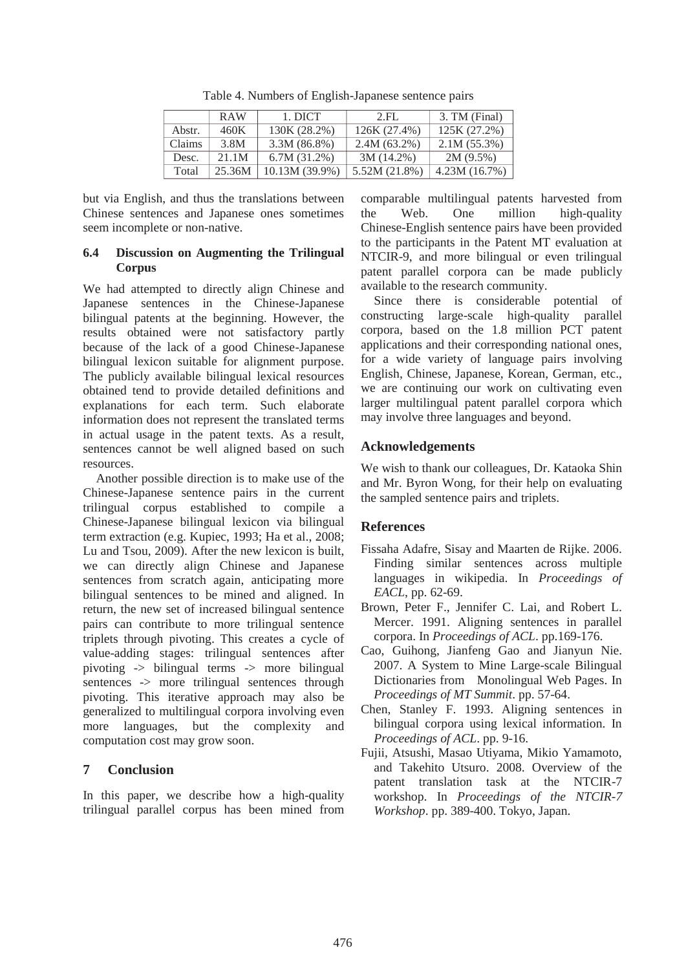|        | <b>RAW</b> | 1. DICT          | 2.FL           | 3. TM (Final) |
|--------|------------|------------------|----------------|---------------|
| Abstr. | 460K       | 130K (28.2%)     | 126K (27.4%)   | 125K (27.2%)  |
| Claims | 3.8M       | $3.3M(86.8\%)$   | $2.4M(63.2\%)$ | 2.1M(55.3%)   |
| Desc.  | 21.1M      | 6.7M(31.2%)      | $3M(14.2\%)$   | $2M(9.5\%)$   |
| Total  | 25.36M     | $10.13M(39.9\%)$ | 5.52M (21.8%)  | 4.23M(16.7%)  |

Table 4. Numbers of English-Japanese sentence pairs

but via English, and thus the translations between Chinese sentences and Japanese ones sometimes seem incomplete or non-native.

#### **6.4 Discussion on Augmenting the Trilingual Corpus**

We had attempted to directly align Chinese and Japanese sentences in the Chinese-Japanese bilingual patents at the beginning. However, the results obtained were not satisfactory partly because of the lack of a good Chinese-Japanese bilingual lexicon suitable for alignment purpose. The publicly available bilingual lexical resources obtained tend to provide detailed definitions and explanations for each term. Such elaborate information does not represent the translated terms in actual usage in the patent texts. As a result, sentences cannot be well aligned based on such resources.

Another possible direction is to make use of the Chinese-Japanese sentence pairs in the current trilingual corpus established to compile a Chinese-Japanese bilingual lexicon via bilingual term extraction (e.g. Kupiec, 1993; Ha et al., 2008; Lu and Tsou, 2009). After the new lexicon is built, we can directly align Chinese and Japanese sentences from scratch again, anticipating more bilingual sentences to be mined and aligned. In return, the new set of increased bilingual sentence pairs can contribute to more trilingual sentence triplets through pivoting. This creates a cycle of value-adding stages: trilingual sentences after pivoting -> bilingual terms -> more bilingual sentences -> more trilingual sentences through pivoting. This iterative approach may also be generalized to multilingual corpora involving even more languages, but the complexity and computation cost may grow soon.

# **7 Conclusion**

In this paper, we describe how a high-quality trilingual parallel corpus has been mined from comparable multilingual patents harvested from the Web. One million high-quality Chinese-English sentence pairs have been provided to the participants in the Patent MT evaluation at NTCIR-9, and more bilingual or even trilingual patent parallel corpora can be made publicly available to the research community.

Since there is considerable potential of constructing large-scale high-quality parallel corpora, based on the 1.8 million PCT patent applications and their corresponding national ones, for a wide variety of language pairs involving English, Chinese, Japanese, Korean, German, etc., we are continuing our work on cultivating even larger multilingual patent parallel corpora which may involve three languages and beyond.

# **Acknowledgements**

We wish to thank our colleagues, Dr. Kataoka Shin and Mr. Byron Wong, for their help on evaluating the sampled sentence pairs and triplets.

# **References**

- Fissaha Adafre, Sisay and Maarten de Rijke. 2006. Finding similar sentences across multiple languages in wikipedia. In *Proceedings of EACL*, pp. 62-69.
- Brown, Peter F., Jennifer C. Lai, and Robert L. Mercer. 1991. Aligning sentences in parallel corpora. In *Proceedings of ACL*. pp.169-176.
- Cao, Guihong, Jianfeng Gao and Jianyun Nie. 2007. A System to Mine Large-scale Bilingual Dictionaries from Monolingual Web Pages. In *Proceedings of MT Summit*. pp. 57-64.
- Chen, Stanley F. 1993. Aligning sentences in bilingual corpora using lexical information. In *Proceedings of ACL*. pp. 9-16.
- Fujii, Atsushi, Masao Utiyama, Mikio Yamamoto, and Takehito Utsuro. 2008. Overview of the patent translation task at the NTCIR-7 workshop. In *Proceedings of the NTCIR-7 Workshop*. pp. 389-400. Tokyo, Japan.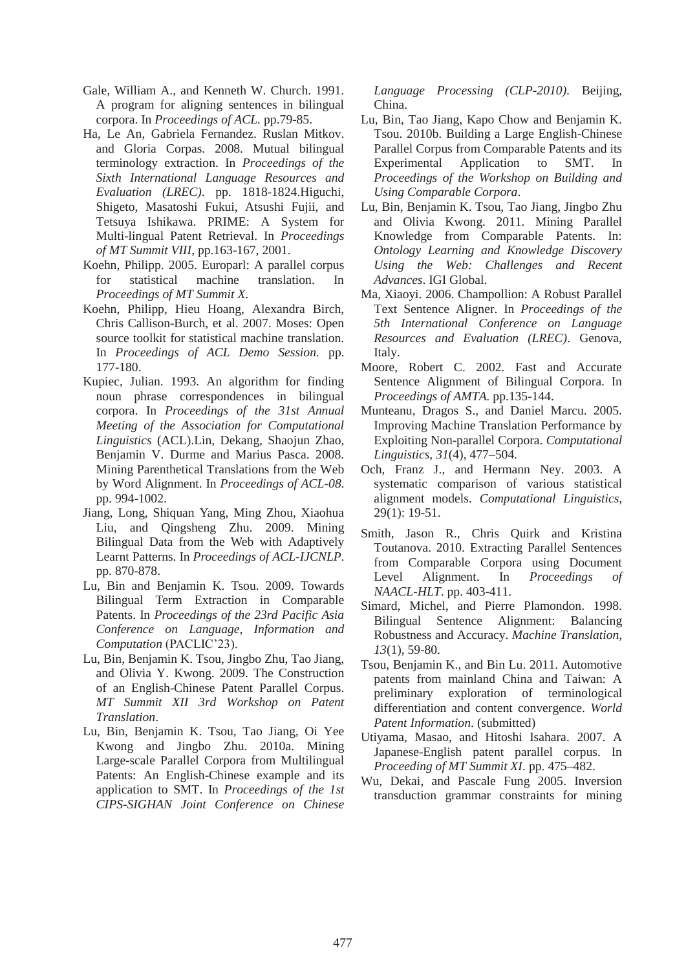- Gale, William A., and Kenneth W. Church. 1991. A program for aligning sentences in bilingual corpora. In *Proceedings of ACL.* pp.79-85.
- Ha, Le An, Gabriela Fernandez. Ruslan Mitkov. and Gloria Corpas. 2008. Mutual bilingual terminology extraction. In *Proceedings of the Sixth International Language Resources and Evaluation (LREC)*. pp. 1818-1824.Higuchi, Shigeto, Masatoshi Fukui, Atsushi Fujii, and Tetsuya Ishikawa. PRIME: A System for Multi-lingual Patent Retrieval. In *Proceedings of MT Summit VIII*, pp.163-167, 2001.
- Koehn, Philipp. 2005. Europarl: A parallel corpus for statistical machine translation. In *Proceedings of MT Summit X*.
- Koehn, Philipp, Hieu Hoang, Alexandra Birch, Chris Callison-Burch, et al. 2007. Moses: Open source toolkit for statistical machine translation. In *Proceedings of ACL Demo Session.* pp. 177-180.
- Kupiec, Julian. 1993. An algorithm for finding noun phrase correspondences in bilingual corpora. In *Proceedings of the 31st Annual Meeting of the Association for Computational Linguistics* (ACL).Lin, Dekang, Shaojun Zhao, Benjamin V. Durme and Marius Pasca. 2008. Mining Parenthetical Translations from the Web by Word Alignment. In *Proceedings of ACL-08*. pp. 994-1002.
- Jiang, Long, Shiquan Yang, Ming Zhou, Xiaohua Liu, and Qingsheng Zhu. 2009. Mining Bilingual Data from the Web with Adaptively Learnt Patterns. In *Proceedings of ACL-IJCNLP*. pp. 870-878.
- Lu, Bin and Benjamin K. Tsou. 2009. Towards Bilingual Term Extraction in Comparable Patents. In *Proceedings of the 23rd Pacific Asia Conference on Language, Information and Computation* (PACLIC'23).
- Lu, Bin, Benjamin K. Tsou, Jingbo Zhu, Tao Jiang, and Olivia Y. Kwong. 2009. The Construction of an English-Chinese Patent Parallel Corpus. *MT Summit XII 3rd Workshop on Patent Translation*.
- Lu, Bin, Benjamin K. Tsou, Tao Jiang, Oi Yee Kwong and Jingbo Zhu. 2010a. Mining Large-scale Parallel Corpora from Multilingual Patents: An English-Chinese example and its application to SMT. In *Proceedings of the 1st CIPS-SIGHAN Joint Conference on Chinese*

*Language Processing (CLP-2010)*. Beijing, China.

- Lu, Bin, Tao Jiang, Kapo Chow and Benjamin K. Tsou. 2010b. Building a Large English-Chinese Parallel Corpus from Comparable Patents and its Experimental Application to SMT. In *Proceedings of the Workshop on Building and Using Comparable Corpora*.
- Lu, Bin, Benjamin K. Tsou, Tao Jiang, Jingbo Zhu and Olivia Kwong. 2011. Mining Parallel Knowledge from Comparable Patents. In: *Ontology Learning and Knowledge Discovery Using the Web: Challenges and Recent Advances*. IGI Global.
- Ma, Xiaoyi. 2006. Champollion: A Robust Parallel Text Sentence Aligner. In *Proceedings of the 5th International Conference on Language Resources and Evaluation (LREC)*. Genova, Italy.
- Moore, Robert C. 2002. Fast and Accurate Sentence Alignment of Bilingual Corpora. In *Proceedings of AMTA.* pp.135-144.
- Munteanu, Dragos S., and Daniel Marcu. 2005. Improving Machine Translation Performance by Exploiting Non-parallel Corpora. *Computational Linguistics*, *31*(4), 477–504.
- Och, Franz J., and Hermann Ney. 2003. A systematic comparison of various statistical alignment models. *Computational Linguistics*, 29(1): 19-51.
- Smith, Jason R., Chris Quirk and Kristina Toutanova. 2010. Extracting Parallel Sentences from Comparable Corpora using Document Level Alignment. In *Proceedings of NAACL-HLT*. pp. 403-411.
- Simard, Michel, and Pierre Plamondon. 1998. Bilingual Sentence Alignment: Balancing Robustness and Accuracy. *Machine Translation*, *13*(1), 59-80.
- Tsou, Benjamin K., and Bin Lu. 2011. Automotive patents from mainland China and Taiwan: A preliminary exploration of terminological differentiation and content convergence. *World Patent Information*. (submitted)
- Utiyama, Masao, and Hitoshi Isahara. 2007. A Japanese-English patent parallel corpus. In *Proceeding of MT Summit XI*. pp. 475–482.
- Wu, Dekai, and Pascale Fung 2005. Inversion transduction grammar constraints for mining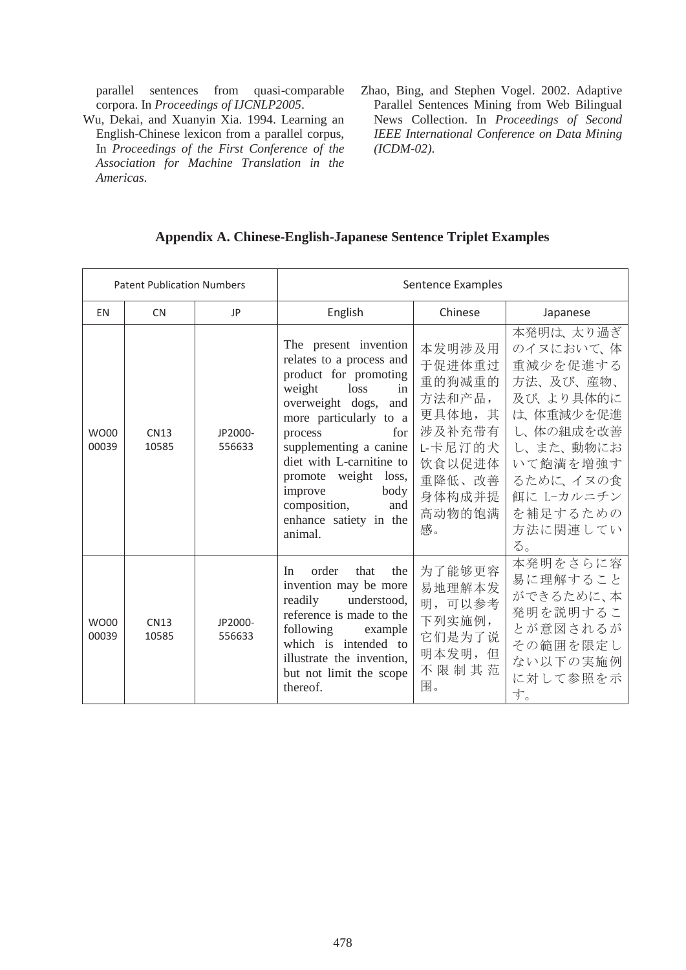parallel sentences from quasi-comparable corpora. In *Proceedings of IJCNLP2005*.

- Wu, Dekai, and Xuanyin Xia. 1994. Learning an English-Chinese lexicon from a parallel corpus, In *Proceedings of the First Conference of the Association for Machine Translation in the Americas*.
- Zhao, Bing, and Stephen Vogel. 2002. Adaptive Parallel Sentences Mining from Web Bilingual News Collection. In *Proceedings of Second IEEE International Conference on Data Mining (ICDM-02)*.

# **Appendix A. Chinese-English-Japanese Sentence Triplet Examples**

| <b>Patent Publication Numbers</b> |                      | Sentence Examples |                                                                                                                                                                                                                                                                                                                                        |                                                                                                                   |                                                                                                                                                                                  |
|-----------------------------------|----------------------|-------------------|----------------------------------------------------------------------------------------------------------------------------------------------------------------------------------------------------------------------------------------------------------------------------------------------------------------------------------------|-------------------------------------------------------------------------------------------------------------------|----------------------------------------------------------------------------------------------------------------------------------------------------------------------------------|
| <b>EN</b>                         | <b>CN</b>            | JP                | English                                                                                                                                                                                                                                                                                                                                | Chinese                                                                                                           | Japanese                                                                                                                                                                         |
| <b>WO00</b><br>00039              | <b>CN13</b><br>10585 | JP2000-<br>556633 | The present invention<br>relates to a process and<br>product for promoting<br>weight<br>in<br>loss<br>overweight dogs,<br>and<br>more particularly to a<br>for<br>process<br>supplementing a canine<br>diet with L-carnitine to<br>promote weight loss,<br>improve<br>body<br>composition,<br>and<br>enhance satiety in the<br>animal. | 本发明涉及用<br>于促进体重过<br>重的狗减重的<br>方法和产品,<br>更具体地,其<br>涉及补充带有<br>L-卡尼汀的犬<br>饮食以促进体<br>重降低、改善<br>身体构成并提<br>高动物的饱满<br>感。 | 本発明は、太り過ぎ<br>のイヌにおいて、体<br>重減少を促進する<br>方法、及び、産物、<br>及び、より具体的に<br>は、体重減少を促進<br>し、体の組成を改善<br>し、また、動物にお<br>いて飽満を増強す<br>るために、イヌの食<br>餌に L-カルニチン<br>を補足するための<br>方法に関連してい<br>$\delta$ . |
| WO00<br>00039                     | <b>CN13</b><br>10585 | JP2000-<br>556633 | order<br>that<br>the<br>In<br>invention may be more<br>readily<br>understood,<br>reference is made to the<br>following<br>example<br>intended to<br>which is<br>illustrate the invention,<br>but not limit the scope<br>thereof.                                                                                                       | 为了能够更容<br>易地理解本发<br>明,可以参考<br>下列实施例,<br>它们是为了说<br>明本发明,但<br>不限制其范<br>围。                                           | 本発明をさらに容<br>易に理解すること<br>ができるために、本<br>発明を説明するこ<br>とが意図されるが<br>その範囲を限定し<br>ない以下の実施例<br>に対して参照を示<br>す。                                                                              |